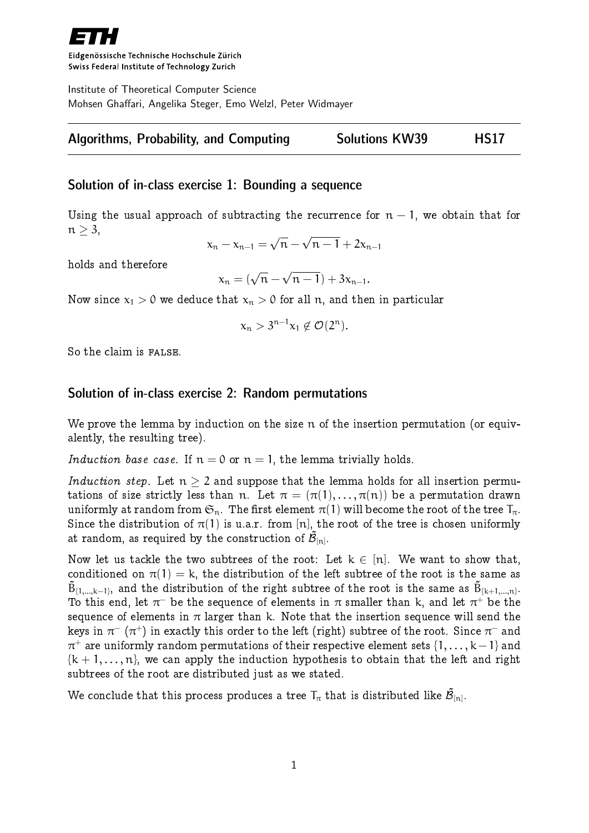

Eidgenössische Technische Hochschule Zürich Swiss Federal Institute of Technology Zurich

Institute of Theoretical Computer Science Mohsen Ghaffari, Angelika Steger, Emo Welzl, Peter Widmayer

# Algorithms, Probability, and Computing Solutions KW39 HS17

## Solution of in-class exercise 1: Bounding a sequence

Using the usual approach of subtracting the recurrence for  $n-1$ , we obtain that for  $n \geq 3$ ,

$$
x_n - x_{n-1} = \sqrt{n} - \sqrt{n-1} + 2x_{n-1}
$$

holds and therefore

$$
x_n=(\sqrt{n}-\sqrt{n-1})+3x_{n-1}.
$$

Now since  $x_1 > 0$  we deduce that  $x_n > 0$  for all n, and then in particular

$$
x_n>3^{n-1}x_1\not\in\mathcal{O}(2^n).
$$

So the claim is FALSE.

### Solution of in-class exercise 2: Random permutations

We prove the lemma by induction on the size n of the insertion permutation (or equivalently, the resulting tree).

Induction base case. If  $n = 0$  or  $n = 1$ , the lemma trivially holds.

Induction step. Let  $n \geq 2$  and suppose that the lemma holds for all insertion permutations of size strictly less than n. Let  $\pi = (\pi(1), \ldots, \pi(n))$  be a permutation drawn uniformly at random from  $\mathfrak{S}_n$ . The first element  $\pi(1)$  will become the root of the tree  $T_{\pi}$ . Since the distribution of  $\pi(1)$  is u.a.r. from [n], the root of the tree is chosen uniformly at random, as required by the construction of  $\mathcal{\tilde{B}}_{[n]}.$ 

Now let us tackle the two subtrees of the root: Let  $k \in [n]$ . We want to show that, conditioned on  $\pi(1) = k$ , the distribution of the left subtree of the root is the same as  $\tilde{{\sf B}}_{\{1,...,\mathsf{k}-1\}},$  and the distribution of the right subtree of the root is the same as  $\tilde{{\sf B}}_{\{\mathsf{k}+1,...,\mathsf{n}\}}.$ To this end, let  $\pi^-$  be the sequence of elements in  $\pi$  smaller than k, and let  $\pi^+$  be the sequence of elements in  $\pi$  larger than k. Note that the insertion sequence will send the keys in  $\pi^-\,(\pi^+)$  in exactly this order to the left (right) subtree of the root. Since  $\pi^-$  and  $\pi^+$  are uniformly random permutations of their respective element sets  $\{1,\ldots,k\!-\!1\}$  and  ${k + 1, ..., n}$ , we can apply the induction hypothesis to obtain that the left and right subtrees of the root are distributed just as we stated.

We conclude that this process produces a tree  ${\sf T}_\pi$  that is distributed like  $\tilde{\cal B}_{[{\sf n}]}$ .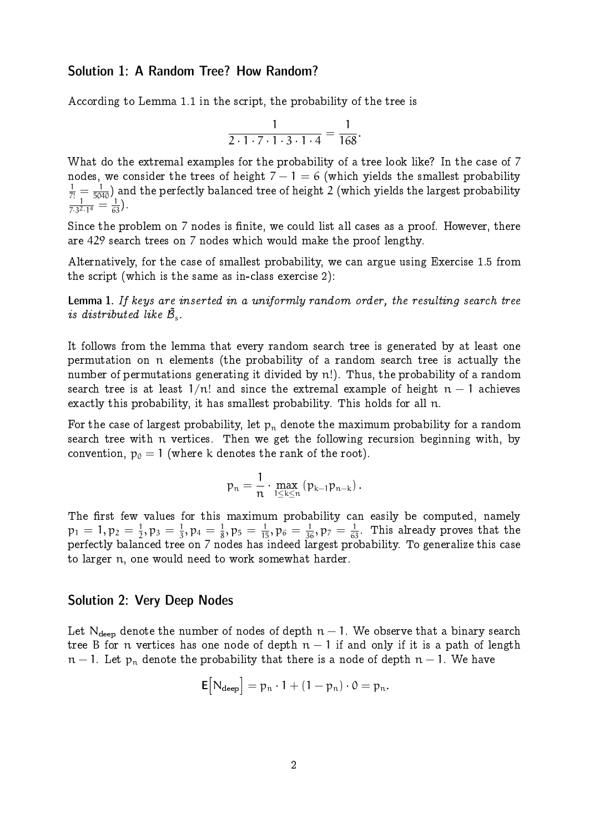## Solution 1: A Random Tree? How Random?

According to Lemma 1.1 in the script, the probability of the tree is

$$
\frac{1}{2\cdot 1\cdot 7\cdot 1\cdot 3\cdot 1\cdot 4}=\frac{1}{168}.
$$

What do the extremal examples for the probability of a tree look like? In the case of 7 nodes, we consider the trees of height  $7 - 1 = 6$  (which yields the smallest probability  $\frac{1}{7!} = \frac{1}{5040}$ ) and the perfectly balanced tree of height 2 (which yields the largest probability  $\frac{1}{7 \cdot 3^2 \cdot 1^4} = \frac{1}{63}$ .

Since the problem on 7 nodes is finite, we could list all cases as a proof. However, there are 429 search trees on 7 nodes which would make the proof lengthy.

Alternatively, for the case of smallest probability, we can argue using Exercise 1.5 from the script (which is the same as in-class exercise 2):

Lemma 1. If keys are inserted in a uniformly random order, the resulting search tree is distributed like  $\tilde{\mathcal{B}}_{s}$ .

It follows from the lemma that every random search tree is generated by at least one permutation on n elements (the probability of a random search tree is actually the number of permutations generating it divided by n!). Thus, the probability of a random search tree is at least  $1/n!$  and since the extremal example of height  $n-1$  achieves exactly this probability, it has smallest probability. This holds for all n.

For the case of largest probability, let  $p_n$  denote the maximum probability for a random search tree with n vertices. Then we get the following recursion beginning with, by convention,  $p_0 = 1$  (where k denotes the rank of the root).

$$
p_n=\frac{1}{n}\cdot \max_{1\leq k\leq n}\left(p_{k-1}p_{n-k}\right).
$$

The first few values for this maximum probability can easily be computed, namely  $p_1 = 1, p_2 = \frac{1}{2}$  $\frac{1}{2}, \mathfrak{p}_3 = \frac{1}{3}$  $\frac{1}{3}$ ,  $p_4 = \frac{1}{8}$  $\frac{1}{8},\mathfrak{p}_5=\frac{1}{15},\mathfrak{p}_6=\frac{1}{36},\mathfrak{p}_7=\frac{1}{63}.$  This already proves that the perfectly balanced tree on 7 nodes has indeed largest probability. To generalize this case to larger n, one would need to work somewhat harder.

### Solution 2: Very Deep Nodes

Let N<sub>deep</sub> denote the number of nodes of depth  $n-1$ . We observe that a binary search tree B for n vertices has one node of depth  $n-1$  if and only if it is a path of length  $n-1$ . Let  $p_n$  denote the probability that there is a node of depth  $n-1$ . We have

$$
\mathsf{E}\big[N_{\text{deep}}\big] = p_n \cdot 1 + (1 - p_n) \cdot 0 = p_n.
$$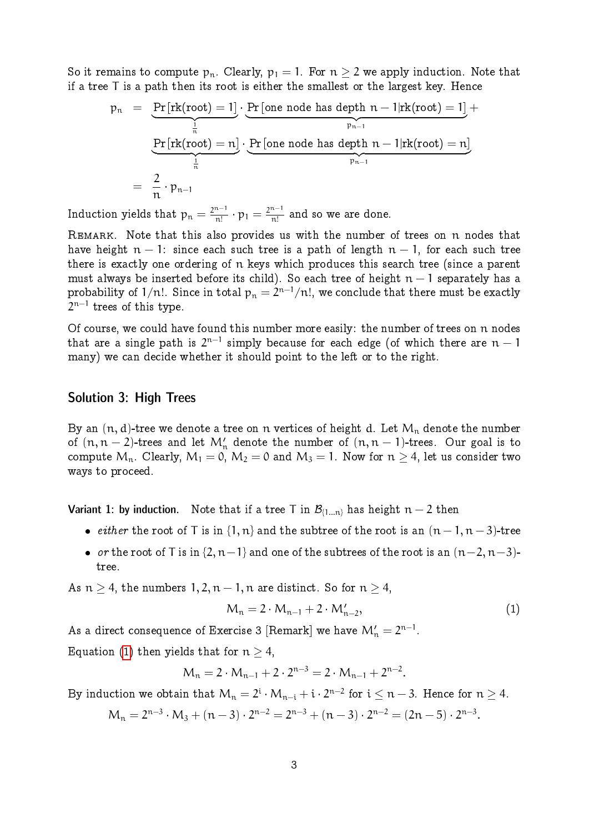So it remains to compute  $p_n$ . Clearly,  $p_1 = 1$ . For  $n > 2$  we apply induction. Note that if a tree T is a path then its root is either the smallest or the largest key. Hence

$$
p_n = \underbrace{\underbrace{\Pr\left[rk(root) = 1\right]}_{\frac{1}{n}} \cdot \underbrace{\Pr\left[one\ node\ has\ depth\ n - 1 | rk(root) = 1\right]}_{p_{n-1}}}_{= \frac{2}{n} \cdot p_{n-1}} \cdot \underbrace{\Pr\left[one\ node\ has\ depth\ n - 1 | rk(root) = n\right]}_{p_{n-1}}
$$

Induction yields that  $p_n = \frac{2^{n-1}}{n!}$  $\frac{n-1}{n!} \cdot p_1 = \frac{2^{n-1}}{n!}$  $\frac{n-1}{n!}$  and so we are done.

REMARK. Note that this also provides us with the number of trees on n nodes that have height  $n - 1$ : since each such tree is a path of length  $n - 1$ , for each such tree there is exactly one ordering of n keys which produces this search tree (since a parent must always be inserted before its child). So each tree of height  $n-1$  separately has a probability of  $1/n!$ . Since in total  $\mathsf{p}_\mathfrak{n}=2^{\mathfrak{n}-1}/\mathfrak{n}!$ , we conclude that there must be exactly  $2^{\mathfrak{n}-1}$  trees of this type.

Of course, we could have found this number more easily: the number of trees on n nodes that are a single path is  $2^{n-1}$  simply because for each edge (of which there are  $n-1$ many) we can decide whether it should point to the left or to the right.

#### Solution 3: High Trees

By an  $(n, d)$ -tree we denote a tree on n vertices of height d. Let  $M_n$  denote the number of  $(n, n-2)$ -trees and let  $\mathcal{M}'_n$  denote the number of  $(n, n-1)$ -trees. Our goal is to compute  $M_n$ . Clearly,  $M_1 = 0$ ,  $M_2 = 0$  and  $M_3 = 1$ . Now for  $n \geq 4$ , let us consider two ways to proceed.

Variant 1: by induction. Note that if a tree T in  $\mathcal{B}_{\{1...n\}}$  has height  $n-2$  then

- *either* the root of T is in  $\{1, n\}$  and the subtree of the root is an  $(n 1, n 3)$ -tree
- or the root of T is in  $\{2, n-1\}$  and one of the subtrees of the root is an  $(n-2, n-3)$ tree.

As  $n \geq 4$ , the numbers  $1, 2, n-1, n$  are distinct. So for  $n \geq 4$ ,

<span id="page-2-0"></span>
$$
M_n = 2 \cdot M_{n-1} + 2 \cdot M'_{n-2}, \tag{1}
$$

As a direct consequence of Exercise 3 [Remark] we have  $\mathcal{M}'_\mathfrak{n} = 2^{\mathfrak{n}-1}.$ 

Equation [\(1\)](#page-2-0) then yields that for  $n \geq 4$ ,

$$
M_n = 2 \cdot M_{n-1} + 2 \cdot 2^{n-3} = 2 \cdot M_{n-1} + 2^{n-2}.
$$

By induction we obtain that  $M_n = 2^i \cdot M_{n-i} + i \cdot 2^{n-2}$  for  $i \leq n-3$ . Hence for  $n \geq 4$ .

 $M_n = 2^{n-3} \cdot M_3 + (n-3) \cdot 2^{n-2} = 2^{n-3} + (n-3) \cdot 2^{n-2} = (2n-5) \cdot 2^{n-3}.$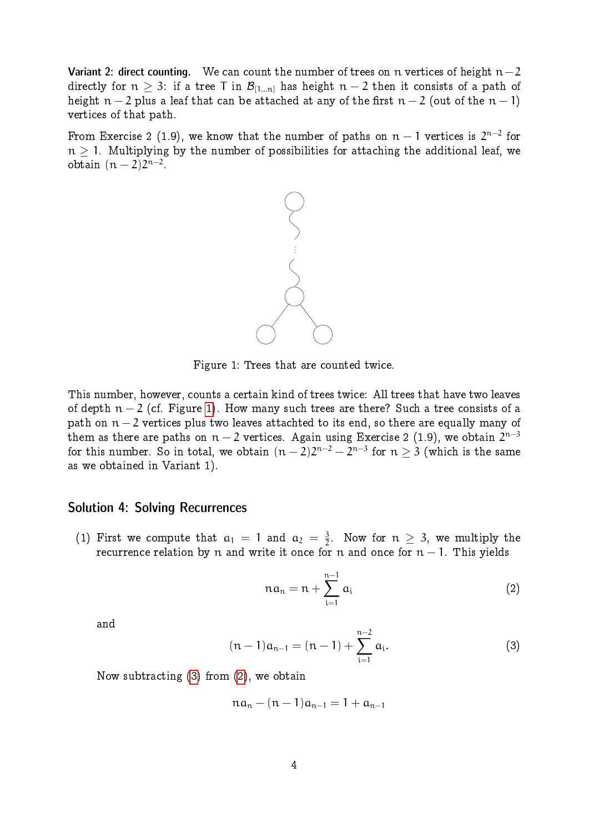Variant 2: direct counting. We can count the number of trees on n vertices of height  $n-2$ directly for  $n \geq 3$ : if a tree T in  $\mathcal{B}_{\{1...n\}}$  has height  $n-2$  then it consists of a path of height  $n-2$  plus a leaf that can be attached at any of the first  $n-2$  (out of the  $n-1$ ) vertices of that path.

From Exercise 2 (1.9), we know that the number of paths on  $\mathfrak{n}-1$  vertices is  $2^{\mathfrak{n}-2}$  for  $n > 1$ . Multiplying by the number of possibilities for attaching the additional leaf, we obtain  $(n-2)2^{n-2}$ .



<span id="page-3-0"></span>Figure 1: Trees that are counted twice.

This number, however, counts a certain kind of trees twice: All trees that have two leaves of depth  $n-2$  (cf. Figure [1\)](#page-3-0). How many such trees are there? Such a tree consists of a path on  $n-2$  vertices plus two leaves attachted to its end, so there are equally many of them as there are paths on  $\mathfrak{n}-2$  vertices. Again using Exercise 2 (1.9), we obtain  $2^{\mathfrak{n}-3}$ for this number. So in total, we obtain  $(n-2)2^{n-2} - 2^{n-3}$  for  $n \geq 3$  (which is the same as we obtained in Variant 1).

#### Solution 4: Solving Recurrences

(1) First we compute that  $a_1 = 1$  and  $a_2 = \frac{3}{2}$  $\frac{3}{2}$ . Now for  $n \geq 3$ , we multiply the recurrence relation by n and write it once for n and once for  $n-1$ . This yields

<span id="page-3-2"></span>
$$
na_n = n + \sum_{i=1}^{n-1} a_i \tag{2}
$$

<span id="page-3-1"></span>and

$$
(n-1)a_{n-1} = (n-1) + \sum_{i=1}^{n-2} a_i.
$$
 (3)

Now subtracting [\(3\)](#page-3-1) from [\(2\)](#page-3-2), we obtain

$$
na_n - (n-1)a_{n-1} = 1 + a_{n-1}
$$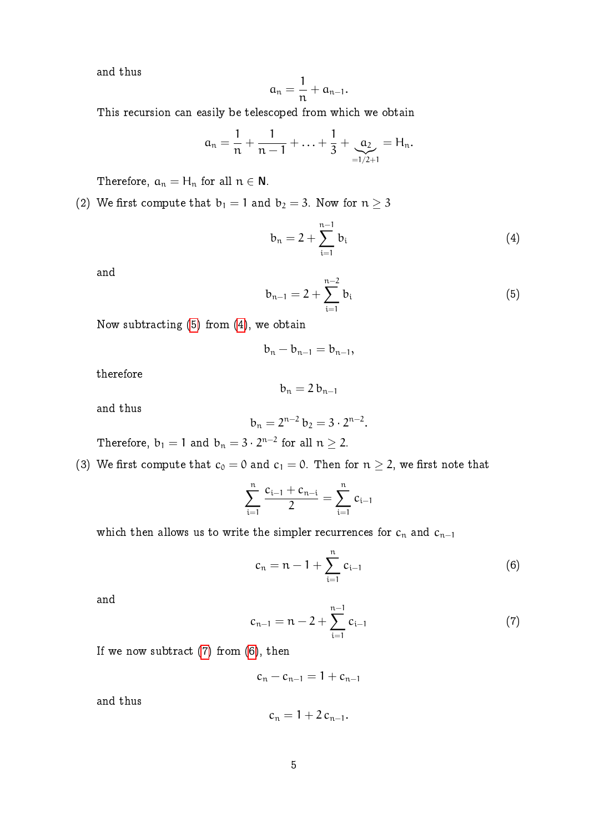and thus

$$
\alpha_n=\frac{1}{n}+\alpha_{n-1}.
$$

This recursion can easily be telescoped from which we obtain

$$
a_n = \frac{1}{n} + \frac{1}{n-1} + \ldots + \frac{1}{3} + \underbrace{a_2}_{=1/2+1} = H_n.
$$

Therefore,  $a_n = H_n$  for all  $n \in \mathbb{N}$ .

(2) We first compute that  $b_1 = 1$  and  $b_2 = 3$ . Now for  $n \geq 3$ 

<span id="page-4-1"></span>
$$
b_n = 2 + \sum_{i=1}^{n-1} b_i
$$
 (4)

<span id="page-4-0"></span>and

$$
b_{n-1} = 2 + \sum_{i=1}^{n-2} b_i
$$
 (5)

Now subtracting  $(5)$  from  $(4)$ , we obtain

$$
b_n-b_{n-1}=b_{n-1},\\
$$

therefore

$$
b_n=2\,b_{n-1}
$$

and thus

$$
b_n = 2^{n-2} b_2 = 3 \cdot 2^{n-2}.
$$

Therefore,  $b_1 = 1$  and  $b_n = 3 \cdot 2^{n-2}$  for all  $n \ge 2$ .

(3) We first compute that  $c_0 = 0$  and  $c_1 = 0$ . Then for  $n \geq 2$ , we first note that

$$
\sum_{i=1}^{n} \frac{c_{i-1} + c_{n-i}}{2} = \sum_{i=1}^{n} c_{i-1}
$$

which then allows us to write the simpler recurrences for  $c_n$  and  $c_{n-1}$ 

<span id="page-4-3"></span>
$$
c_n = n - 1 + \sum_{i=1}^{n} c_{i-1}
$$
 (6)

<span id="page-4-2"></span>and

$$
c_{n-1} = n - 2 + \sum_{i=1}^{n-1} c_{i-1}
$$
 (7)

If we now subtract  $(7)$  from  $(6)$ , then

$$
c_n-c_{n-1}=1+c_{n-1}
$$

and thus

$$
c_n=1+2\,c_{n-1}.
$$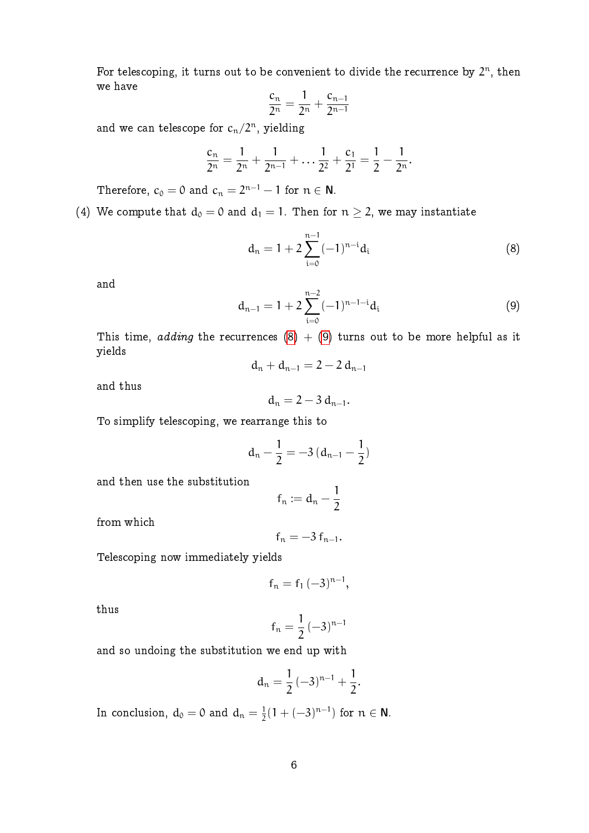For telescoping, it turns out to be convenient to divide the recurrence by  $2^n$ , then we have

$$
\frac{c_n}{2^n} = \frac{1}{2^n} + \frac{c_{n-1}}{2^{n-1}}
$$

and we can telescope for  $c_n/2^n$ , yielding

$$
\frac{c_n}{2^n} = \frac{1}{2^n} + \frac{1}{2^{n-1}} + \dots + \frac{1}{2^2} + \frac{c_1}{2^1} = \frac{1}{2} - \frac{1}{2^n}.
$$

Therefore,  $c_0 = 0$  and  $c_n = 2^{n-1} - 1$  for  $n \in \mathbb{N}$ .

# (4) We compute that  $d_0 = 0$  and  $d_1 = 1$ . Then for  $n \geq 2$ , we may instantiate

<span id="page-5-0"></span>
$$
d_n = 1 + 2 \sum_{i=0}^{n-1} (-1)^{n-i} d_i
$$
 (8)

<span id="page-5-1"></span>and

$$
d_{n-1} = 1 + 2 \sum_{i=0}^{n-2} (-1)^{n-1-i} d_i
$$
 (9)

This time, adding the recurrences [\(8\)](#page-5-0) + [\(9\)](#page-5-1) turns out to be more helpful as it yields

$$
d_n + d_{n-1} = 2 - 2 d_{n-1}
$$

and thus

$$
d_n=2-3\,d_{n-1}.
$$

To simplify telescoping, we rearrange this to

$$
d_n - \frac{1}{2} = -3 (d_{n-1} - \frac{1}{2})
$$

and then use the substitution

$$
f_n \mathrel{\mathop:}= d_n - \frac{1}{2}
$$

from which

$$
f_n=-3\,f_{n-1}.
$$

Telescoping now immediately yields

$$
f_n = f_1 \, (-3)^{n-1},
$$

thus

$$
f_n=\frac{1}{2}\left(-3\right)^{n-1}
$$

and so undoing the substitution we end up with

$$
d_n=\frac{1}{2}\,(-3)^{n-1}+\frac{1}{2}.
$$

In conclusion,  $d_0 = 0$  and  $d_n = \frac{1}{2}$  $\frac{1}{2}(1+(-3)^{n-1})$  for  $n \in \mathbb{N}$ .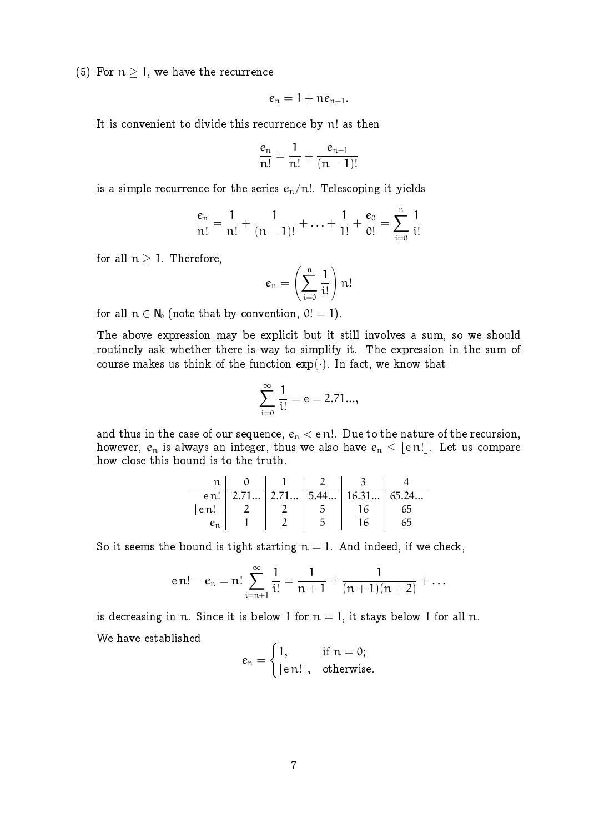(5) For  $n > 1$ , we have the recurrence

$$
e_n=1+ne_{n-1}.
$$

It is convenient to divide this recurrence by n! as then

$$
\frac{e_n}{n!} = \frac{1}{n!} + \frac{e_{n-1}}{(n-1)!}
$$

is a simple recurrence for the series  $e_n/n!$ . Telescoping it yields

$$
\frac{e_n}{n!} = \frac{1}{n!} + \frac{1}{(n-1)!} + \ldots + \frac{1}{1!} + \frac{e_0}{0!} = \sum_{i=0}^{n} \frac{1}{i!}
$$

for all  $n \geq 1$ . Therefore,

$$
e_n = \left(\sum_{i=0}^n \frac{1}{i!}\right) n!
$$

for all  $n \in N_0$  (note that by convention,  $0! = 1$ ).

The above expression may be explicit but it still involves a sum, so we should routinely ask whether there is way to simplify it. The expression in the sum of course makes us think of the function  $exp(\cdot)$ . In fact, we know that

$$
\sum_{i=0}^{\infty} \frac{1}{i!} = e = 2.71...,
$$

and thus in the case of our sequence,  $e_n < e$  n!. Due to the nature of the recursion, however,  $e_n$  is always an integer, thus we also have  $e_n \leq |e_n|$ . Let us compare how close this bound is to the truth.

|       |  | en!   2.71   2.71   5.44   16.31   65.24 |    |
|-------|--|------------------------------------------|----|
| en!   |  | 16                                       | 65 |
| $e_n$ |  | I6                                       | 65 |

So it seems the bound is tight starting  $n = 1$ . And indeed, if we check,

$$
en! - e_n = n! \sum_{i=n+1}^{\infty} \frac{1}{i!} = \frac{1}{n+1} + \frac{1}{(n+1)(n+2)} + \dots
$$

is decreasing in n. Since it is below 1 for  $n = 1$ , it stays below 1 for all n. We have established

$$
e_n = \begin{cases} 1, & \text{if } n = 0; \\ \lfloor \text{e } n ! \rfloor, & \text{otherwise.} \end{cases}
$$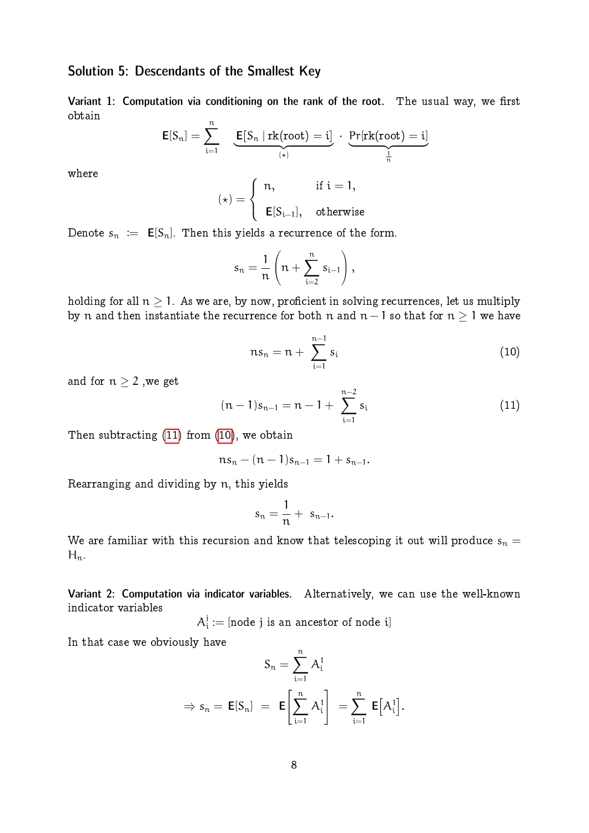# Solution 5: Descendants of the Smallest Key

Variant 1: Computation via conditioning on the rank of the root. The usual way, we first obtain

$$
\text{E}[S_n] = \sum_{i=1}^n \underbrace{\text{E}[S_n \mid \text{rk(root)} = i]}_{(*)} \cdot \underbrace{\text{Pr}[\text{rk(root)} = i]}_{\frac{1}{n}}
$$

where

$$
(\star)=\left\{\begin{array}{ll}n, & \text{ if } i=1,\\ \\ \text{E}[S_{i-1}], & \text{ otherwise }\end{array}\right.
$$

Denote  $s_n := E[S_n]$ . Then this yields a recurrence of the form.

$$
s_n = \frac{1}{n} \left( n + \sum_{i=2}^n s_{i-1} \right),
$$

<span id="page-7-1"></span>holding for all  $n \geq 1$ . As we are, by now, proficient in solving recurrences, let us multiply by n and then instantiate the recurrence for both n and  $n - 1$  so that for  $n \geq 1$  we have

$$
ns_n = n + \sum_{i=1}^{n-1} s_i
$$
 (10)

and for  $n\geq 2$  ,we get

<span id="page-7-0"></span>
$$
(n-1)s_{n-1} = n-1+\sum_{i=1}^{n-2} s_i
$$
 (11)

Then subtracting [\(11\)](#page-7-0) from [\(10\)](#page-7-1), we obtain

$$
ns_n - (n-1)s_{n-1} = 1 + s_{n-1}.
$$

Rearranging and dividing by n, this yields

$$
s_n=\frac{1}{n}+ s_{n-1}.
$$

We are familiar with this recursion and know that telescoping it out will produce  $s_n =$  $H_n$ .

Variant 2: Computation via indicator variables. Alternatively, we can use the well-known indicator variables

 $\mathcal{A}^{\mathrm{j}}_{\mathrm{i}}$  $\mathbf{d}_i^j:=[\text{node } j \text{~is an ancestor of node } i]$ 

In that case we obviously have

$$
S_n = \sum_{i=1}^n A_i^1
$$
  
\n
$$
\Rightarrow s_n = \mathbf{E}[S_n] = \mathbf{E}\left[\sum_{i=1}^n A_i^1\right] = \sum_{i=1}^n \mathbf{E}[A_i^1].
$$